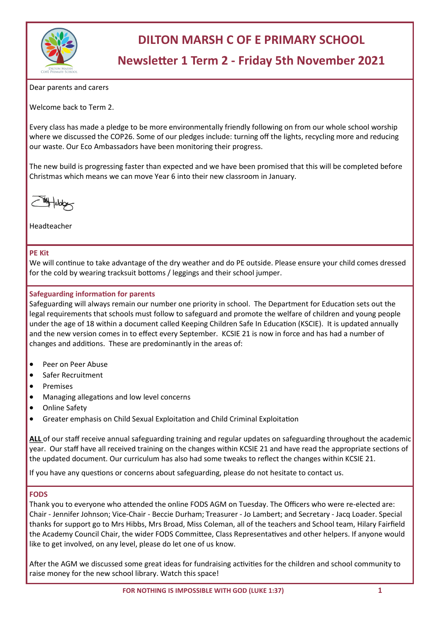

# **DILTON MARSH C OF E PRIMARY SCHOOL**

# **Newsletter 1 Term 2 - Friday 5th November 2021**

Dear parents and carers

Welcome back to Term 2.

Every class has made a pledge to be more environmentally friendly following on from our whole school worship where we discussed the COP26. Some of our pledges include: turning off the lights, recycling more and reducing our waste. Our Eco Ambassadors have been monitoring their progress.

The new build is progressing faster than expected and we have been promised that this will be completed before Christmas which means we can move Year 6 into their new classroom in January.



Headteacher

#### **PE Kit**

We will continue to take advantage of the dry weather and do PE outside. Please ensure your child comes dressed for the cold by wearing tracksuit bottoms / leggings and their school jumper.

# **Safeguarding information for parents**

Safeguarding will always remain our number one priority in school. The Department for Education sets out the legal requirements that schools must follow to safeguard and promote the welfare of children and young people under the age of 18 within a document called Keeping Children Safe In Education (KSCIE). It is updated annually and the new version comes in to effect every September. KCSIE 21 is now in force and has had a number of changes and additions. These are predominantly in the areas of:

- Peer on Peer Abuse
- Safer Recruitment
- **Premises**
- Managing allegations and low level concerns
- Online Safety
- Greater emphasis on Child Sexual Exploitation and Child Criminal Exploitation

**ALL** of our staff receive annual safeguarding training and regular updates on safeguarding throughout the academic year. Our staff have all received training on the changes within KCSIE 21 and have read the appropriate sections of the updated document. Our curriculum has also had some tweaks to reflect the changes within KCSIE 21.

If you have any questions or concerns about safeguarding, please do not hesitate to contact us.

#### **FODS**

Thank you to everyone who attended the online FODS AGM on Tuesday. The Officers who were re-elected are: Chair - Jennifer Johnson; Vice-Chair - Beccie Durham; Treasurer - Jo Lambert; and Secretary - Jacq Loader. Special thanks for support go to Mrs Hibbs, Mrs Broad, Miss Coleman, all of the teachers and School team, Hilary Fairfield the Academy Council Chair, the wider FODS Committee, Class Representatives and other helpers. If anyone would like to get involved, on any level, please do let one of us know.

After the AGM we discussed some great ideas for fundraising activities for the children and school community to raise money for the new school library. Watch this space!